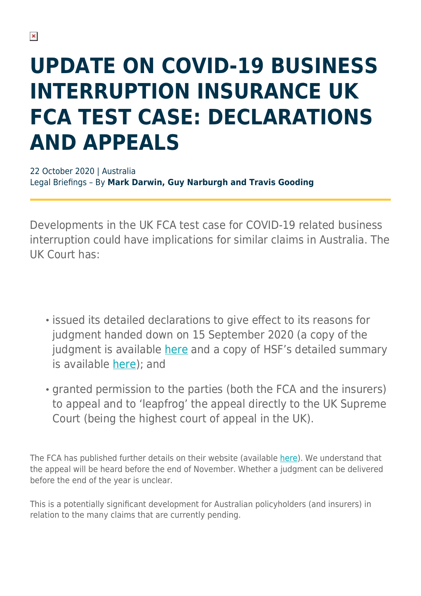# **UPDATE ON COVID-19 BUSINESS INTERRUPTION INSURANCE UK FCA TEST CASE: DECLARATIONS AND APPEALS**

22 October 2020 | Australia Legal Briefings – By **Mark Darwin, Guy Narburgh and Travis Gooding**

Developments in the UK FCA test case for COVID-19 related business interruption could have implications for similar claims in Australia. The UK Court has:

- $\cdot$  issued its detailed declarations to give effect to its reasons for judgment handed down on 15 September 2020 (a copy of the judgment is available [here](https://www.fca.org.uk/publication/corporate/bi-insurance-test-case-judgment.pdf) and a copy of HSF's detailed summary is available [here\)](https://hsfnotes.com/insurance/2020/09/15/judgment-handed-down-in-fcas-covid-19-business-interruption-insurance-test-case/); and
- granted permission to the parties (both the FCA and the insurers) to appeal and to 'leapfrog' the appeal directly to the UK Supreme Court (being the highest court of appeal in the UK).

The FCA has published further details on their website (available [here\)](https://www.fca.org.uk/firms/business-interruption-insurance#latest-updates). We understand that the appeal will be heard before the end of November. Whether a judgment can be delivered before the end of the year is unclear.

This is a potentially significant development for Australian policyholders (and insurers) in relation to the many claims that are currently pending.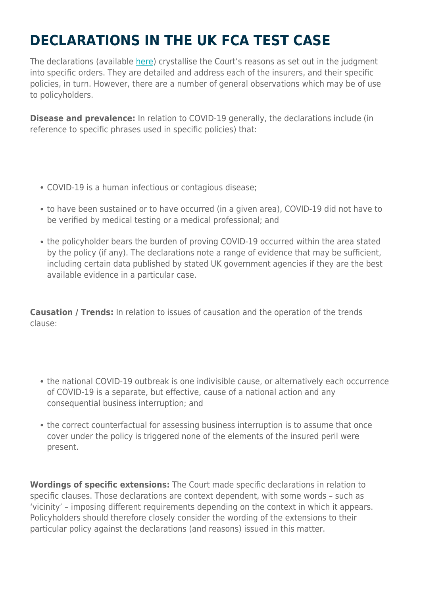## **DECLARATIONS IN THE UK FCA TEST CASE**

The declarations (available [here\)](https://www.fca.org.uk/publication/corporate/bi-insurance-test-case-high-court-declarations-order.pdf) crystallise the Court's reasons as set out in the judgment into specific orders. They are detailed and address each of the insurers, and their specific policies, in turn. However, there are a number of general observations which may be of use to policyholders.

**Disease and prevalence:** In relation to COVID-19 generally, the declarations include (in reference to specific phrases used in specific policies) that:

- COVID-19 is a human infectious or contagious disease;
- to have been sustained or to have occurred (in a given area), COVID-19 did not have to be verified by medical testing or a medical professional; and
- the policyholder bears the burden of proving COVID-19 occurred within the area stated by the policy (if any). The declarations note a range of evidence that may be sufficient, including certain data published by stated UK government agencies if they are the best available evidence in a particular case.

**Causation / Trends:** In relation to issues of causation and the operation of the trends clause:

- the national COVID-19 outbreak is one indivisible cause, or alternatively each occurrence of COVID-19 is a separate, but effective, cause of a national action and any consequential business interruption; and
- the correct counterfactual for assessing business interruption is to assume that once cover under the policy is triggered none of the elements of the insured peril were present.

**Wordings of specific extensions:** The Court made specific declarations in relation to specific clauses. Those declarations are context dependent, with some words – such as 'vicinity' – imposing different requirements depending on the context in which it appears. Policyholders should therefore closely consider the wording of the extensions to their particular policy against the declarations (and reasons) issued in this matter.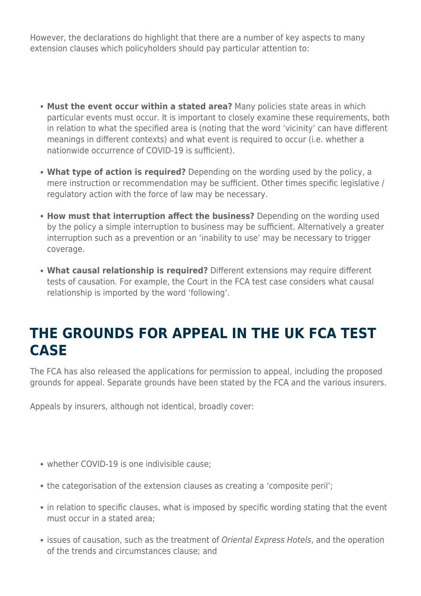However, the declarations do highlight that there are a number of key aspects to many extension clauses which policyholders should pay particular attention to:

- **Must the event occur within a stated area?** Many policies state areas in which particular events must occur. It is important to closely examine these requirements, both in relation to what the specified area is (noting that the word 'vicinity' can have different meanings in different contexts) and what event is required to occur (i.e. whether a nationwide occurrence of COVID-19 is sufficient).
- **What type of action is required?** Depending on the wording used by the policy, a mere instruction or recommendation may be sufficient. Other times specific legislative / regulatory action with the force of law may be necessary.
- **How must that interruption affect the business?** Depending on the wording used by the policy a simple interruption to business may be sufficient. Alternatively a greater interruption such as a prevention or an 'inability to use' may be necessary to trigger coverage.
- **What causal relationship is required?** Different extensions may require different tests of causation. For example, the Court in the FCA test case considers what causal relationship is imported by the word 'following'.

#### **THE GROUNDS FOR APPEAL IN THE UK FCA TEST CASE**

The FCA has also released the applications for permission to appeal, including the proposed grounds for appeal. Separate grounds have been stated by the FCA and the various insurers.

Appeals by insurers, although not identical, broadly cover:

- whether COVID-19 is one indivisible cause;
- the categorisation of the extension clauses as creating a 'composite peril';
- in relation to specific clauses, what is imposed by specific wording stating that the event must occur in a stated area;
- issues of causation, such as the treatment of Oriental Express Hotels, and the operation of the trends and circumstances clause; and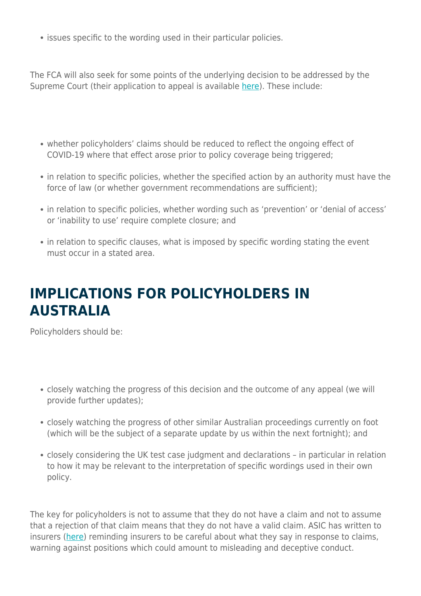• issues specific to the wording used in their particular policies.

The FCA will also seek for some points of the underlying decision to be addressed by the Supreme Court (their application to appeal is available [here\)](https://www.fca.org.uk/publication/corporate/bi-insurance-test-case-fca-application-permission-appeal.pdf). These include:

- whether policyholders' claims should be reduced to reflect the ongoing effect of COVID-19 where that effect arose prior to policy coverage being triggered;
- in relation to specific policies, whether the specified action by an authority must have the force of law (or whether government recommendations are sufficient);
- in relation to specific policies, whether wording such as 'prevention' or 'denial of access' or 'inability to use' require complete closure; and
- in relation to specific clauses, what is imposed by specific wording stating the event must occur in a stated area.

#### **IMPLICATIONS FOR POLICYHOLDERS IN AUSTRALIA**

Policyholders should be:

- closely watching the progress of this decision and the outcome of any appeal (we will provide further updates);
- closely watching the progress of other similar Australian proceedings currently on foot (which will be the subject of a separate update by us within the next fortnight); and
- closely considering the UK test case judgment and declarations in particular in relation to how it may be relevant to the interpretation of specific wordings used in their own policy.

The key for policyholders is not to assume that they do not have a claim and not to assume that a rejection of that claim means that they do not have a valid claim. ASIC has written to insurers ([here](https://download.asic.gov.au/media/5817377/asic-letter-to-insurers-and-brokers-re-bii-expectations-20201016.pdf)) reminding insurers to be careful about what they say in response to claims, warning against positions which could amount to misleading and deceptive conduct.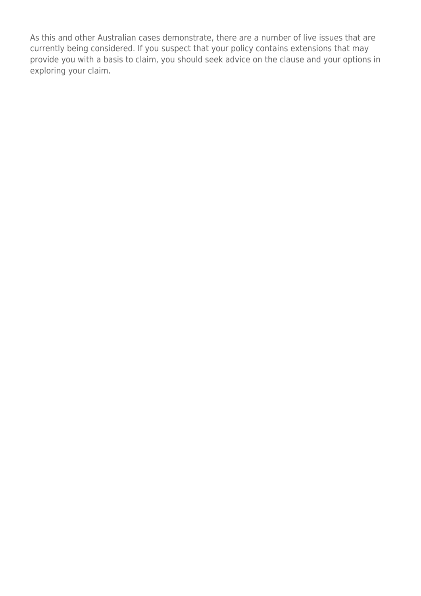As this and other Australian cases demonstrate, there are a number of live issues that are currently being considered. If you suspect that your policy contains extensions that may provide you with a basis to claim, you should seek advice on the clause and your options in exploring your claim.